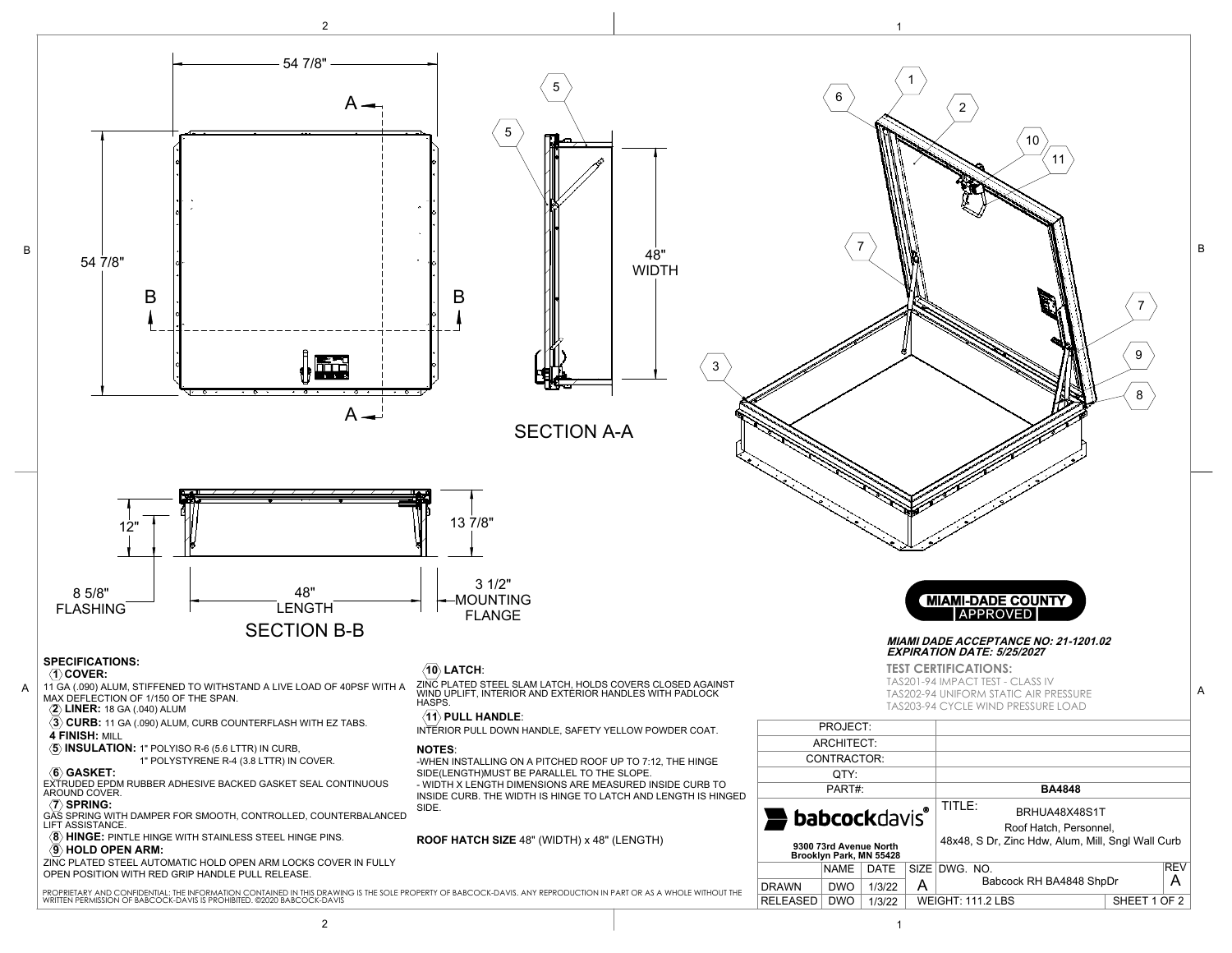